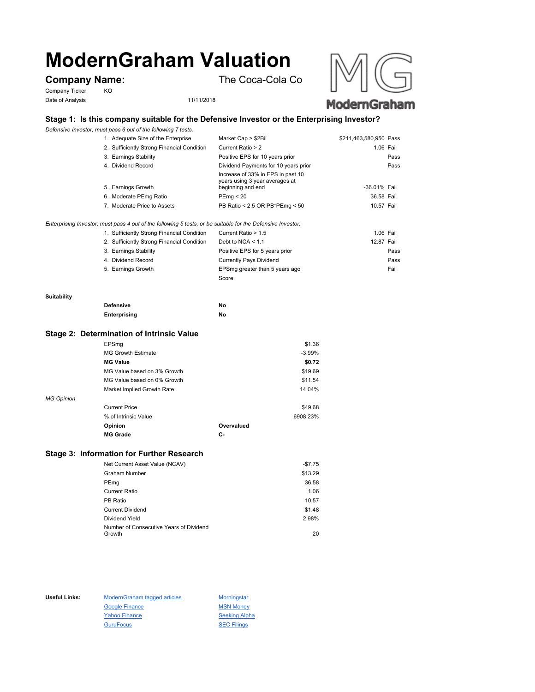# **ModernGraham Valuation**

Company Ticker KO Date of Analysis 11/11/2018

**Company Name:** The Coca-Cola Co





# **Stage 1: Is this company suitable for the Defensive Investor or the Enterprising Investor?**

*Defensive Investor; must pass 6 out of the following 7 tests.*

|                                            | Market Cap > \$2Bil                                                                      | \$211,463,580,950 Pass |  |
|--------------------------------------------|------------------------------------------------------------------------------------------|------------------------|--|
| 2. Sufficiently Strong Financial Condition | Current Ratio > 2                                                                        | 1.06 Fail              |  |
| 3. Earnings Stability                      | Positive EPS for 10 years prior                                                          | Pass                   |  |
| 4. Dividend Record                         | Dividend Payments for 10 years prior                                                     | Pass                   |  |
| 5. Earnings Growth                         | Increase of 33% in EPS in past 10<br>years using 3 year averages at<br>beginning and end | -36.01% Fail           |  |
| 6. Moderate PEmg Ratio                     | PEmg < 20                                                                                | 36.58 Fail             |  |
| 7. Moderate Price to Assets                | PB Ratio < 2.5 OR PB*PEmg < 50                                                           | 10.57 Fail             |  |
|                                            |                                                                                          |                        |  |

*Enterprising Investor; must pass 4 out of the following 5 tests, or be suitable for the Defensive Investor.*

| 1. Sufficiently Strong Financial Condition | Current Ratio > 1.5            | 1.06 Fail  |      |
|--------------------------------------------|--------------------------------|------------|------|
| 2. Sufficiently Strong Financial Condition | Debt to NCA $<$ 1.1            | 12.87 Fail |      |
| 3. Earnings Stability                      | Positive EPS for 5 years prior |            | Pass |
| 4. Dividend Record                         | <b>Currently Pays Dividend</b> |            | Pass |
| 5. Earnings Growth                         | EPSmg greater than 5 years ago |            | Fail |
|                                            | Score                          |            |      |

#### **Suitability**

| <b>Defensive</b> | Νo |
|------------------|----|
| Enterprising     | Νo |

### **Stage 2: Determination of Intrinsic Value**

|                   | <b>MG Grade</b>             | С-         |          |
|-------------------|-----------------------------|------------|----------|
|                   | Opinion                     | Overvalued |          |
|                   | % of Intrinsic Value        |            | 6908.23% |
|                   | <b>Current Price</b>        |            | \$49.68  |
| <b>MG Opinion</b> |                             |            |          |
|                   | Market Implied Growth Rate  |            | 14.04%   |
|                   | MG Value based on 0% Growth |            | \$11.54  |
|                   | MG Value based on 3% Growth |            | \$19.69  |
|                   | <b>MG Value</b>             |            | \$0.72   |
|                   | <b>MG Growth Estimate</b>   |            | $-3.99%$ |
|                   | EPSmg                       |            | \$1.36   |

## **Stage 3: Information for Further Research**

| Net Current Asset Value (NCAV)          | $-$7.75$ |
|-----------------------------------------|----------|
| Graham Number                           | \$13.29  |
| PEmg                                    | 36.58    |
| Current Ratio                           | 1.06     |
| PB Ratio                                | 10.57    |
| <b>Current Dividend</b>                 | \$1.48   |
| Dividend Yield                          | 2.98%    |
| Number of Consecutive Years of Dividend |          |
| Growth                                  | 20       |

Useful Links: ModernGraham tagged articles Morningstar Google Finance MSN Money Yahoo Finance Seeking Alpha GuruFocus SEC Filings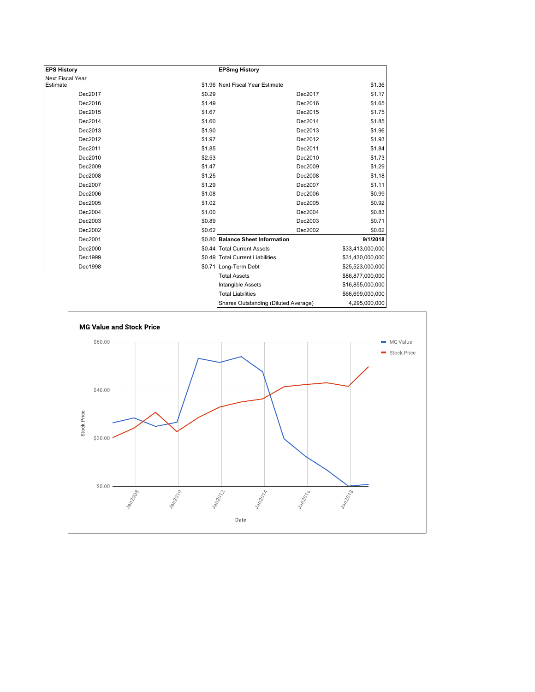| <b>EPS History</b> |        | <b>EPSmg History</b>                 |                  |
|--------------------|--------|--------------------------------------|------------------|
| Next Fiscal Year   |        |                                      |                  |
| Estimate           |        | \$1.96 Next Fiscal Year Estimate     | \$1.36           |
| Dec2017            | \$0.29 | Dec2017                              | \$1.17           |
| Dec2016            | \$1.49 | Dec2016                              | \$1.65           |
| Dec2015            | \$1.67 | Dec2015                              | \$1.75           |
| Dec2014            | \$1.60 | Dec2014                              | \$1.85           |
| Dec2013            | \$1.90 | Dec2013                              | \$1.96           |
| Dec2012            | \$1.97 | Dec2012                              | \$1.93           |
| Dec2011            | \$1.85 | Dec2011                              | \$1.84           |
| Dec2010            | \$2.53 | Dec2010                              | \$1.73           |
| Dec2009            | \$1.47 | Dec2009                              | \$1.29           |
| Dec2008            | \$1.25 | Dec2008                              | \$1.18           |
| Dec2007            | \$1.29 | Dec2007                              | \$1.11           |
| Dec2006            | \$1.08 | Dec2006                              | \$0.99           |
| Dec2005            | \$1.02 | Dec2005                              | \$0.92           |
| Dec2004            | \$1.00 | Dec2004                              | \$0.83           |
| Dec2003            | \$0.89 | Dec2003                              | \$0.71           |
| Dec2002            | \$0.62 | Dec2002                              | \$0.62           |
| Dec2001            |        | \$0.80 Balance Sheet Information     | 9/1/2018         |
| Dec2000            |        | \$0.44 Total Current Assets          | \$33,413,000,000 |
| Dec1999            |        | \$0.49 Total Current Liabilities     | \$31,430,000,000 |
| Dec1998            |        | \$0.71 Long-Term Debt                | \$25,523,000,000 |
|                    |        | <b>Total Assets</b>                  | \$86,877,000,000 |
|                    |        | Intangible Assets                    | \$16,855,000,000 |
|                    |        | <b>Total Liabilities</b>             | \$66,699,000,000 |
|                    |        | Sharee Outetanding (Diluted Average) | A 295 000 000    |